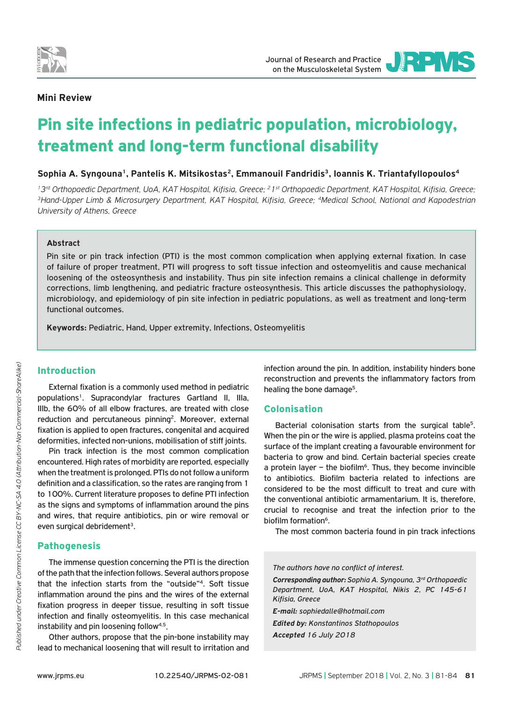

JOURNAL OF RESEARCH AND PRACTICE

## **Mini Review**

# Pin site infections in pediatric population, microbiology, treatment and long-term functional disability

Sophia A. Syngouna<sup>1</sup>, Pantelis K. Mitsikostas<sup>2</sup>, Emmanouil Fandridis<sup>3</sup>, Ioannis K. Triantafyllopoulos<sup>4</sup>

<sup>1</sup>3<sup>rd</sup> Orthopaedic Department, UoA, KAT Hospital, Kifisia, Greece; <sup>2</sup>1<sup>st</sup> Orthopaedic Department, KAT Hospital, Kifisia, Greece;<br><sup>3</sup>Hand-Upper Limb & Microsurgery Department, KAT Hospital, Kifisia, Greece; <sup>4</sup>Medical S *University of Athens, Greece*

#### **Abstract**

Pin site or pin track infection (PTI) is the most common complication when applying external fixation. In case of failure of proper treatment, PTI will progress to soft tissue infection and osteomyelitis and cause mechanical loosening of the osteosynthesis and instability. Thus pin site infection remains a clinical challenge in deformity corrections, limb lengthening, and pediatric fracture osteosynthesis. This article discusses the pathophysiology, microbiology, and epidemiology of pin site infection in pediatric populations, as well as treatment and long-term functional outcomes.

**Keywords:** Pediatric, Hand, Upper extremity, Infections, Osteomyelitis

# Introduction

External fixation is a commonly used method in pediatric populations<sup>1</sup>. Supracondylar fractures Gartland II, IIIa, IIIb, the 60% of all elbow fractures, are treated with close reduction and percutaneous pinning<sup>2</sup>. Moreover, external fixation is applied to open fractures, congenital and acquired deformities, infected non-unions, mobilisation of stiff joints.

Pin track infection is the most common complication encountered. High rates of morbidity are reported, especially when the treatment is prolonged. PTIs do not follow a uniform definition and a classification, so the rates are ranging from 1 to 100%. Current literature proposes to define PTI infection as the signs and symptoms of inflammation around the pins and wires, that require antibiotics, pin or wire removal or even surgical debridement<sup>3</sup>.

### Pathogenesis

The immense question concerning the PTI is the direction of the path that the infection follows. Several authors propose that the infection starts from the "outside"4. Soft tissue inflammation around the pins and the wires of the external fixation progress in deeper tissue, resulting in soft tissue infection and finally osteomyelitis. In this case mechanical instability and pin loosening follow4,5.

Other authors, propose that the pin-bone instability may lead to mechanical loosening that will result to irritation and

infection around the pin. In addition, instability hinders bone reconstruction and prevents the inflammatory factors from healing the bone damage<sup>5</sup>.

### Colonisation

Bacterial colonisation starts from the surgical table<sup>5</sup>. When the pin or the wire is applied, plasma proteins coat the surface of the implant creating a favourable environment for bacteria to grow and bind. Certain bacterial species create a protein layer – the biofilm<sup>6</sup>. Thus, they become invincible to antibiotics. Biofilm bacteria related to infections are considered to be the most difficult to treat and cure with the conventional antibiotic armamentarium. It is, therefore, crucial to recognise and treat the infection prior to the biofilm formation<sup>6</sup>.

The most common bacteria found in pin track infections

*The authors have no conflict of interest.*

*Corresponding author: Sophia A. Syngouna, 3rd Orthopaedic Department, UoA, KAT Hospital, Nikis 2, PC 145-61 Kifisia, Greece*

*E-mail: sophiedalle@hotmail.com Edited by: Konstantinos Stathopoulos Accepted 16 July 2018*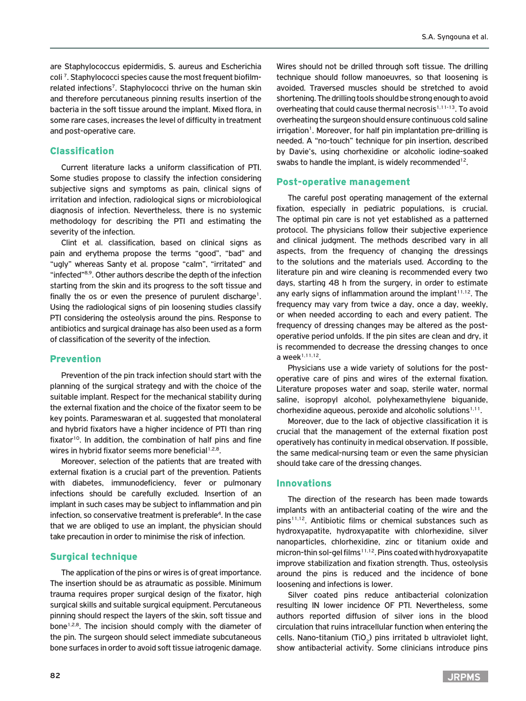are Staphylococcus epidermidis, S. aureus and Escherichia coli 7. Staphylococci species cause the most frequent biofilmrelated infections7. Staphylococci thrive on the human skin and therefore percutaneous pinning results insertion of the bacteria in the soft tissue around the implant. Mixed flora, in some rare cases, increases the level of difficulty in treatment and post-operative care.

## Classification

Current literature lacks a uniform classification of PTI. Some studies propose to classify the infection considering subjective signs and symptoms as pain, clinical signs of irritation and infection, radiological signs or microbiological diagnosis of infection. Nevertheless, there is no systemic methodology for describing the PTI and estimating the severity of the infection.

Clint et al. classification, based on clinical signs as pain and erythema propose the terms "good", "bad" and "ugly" whereas Santy et al. propose "calm", "irritated" and "infected"8,9. Other authors describe the depth of the infection starting from the skin and its progress to the soft tissue and finally the os or even the presence of purulent discharge<sup>1</sup>. Using the radiological signs of pin loosening studies classify PTI considering the osteolysis around the pins. Response to antibiotics and surgical drainage has also been used as a form of classification of the severity of the infection.

### Prevention

Prevention of the pin track infection should start with the planning of the surgical strategy and with the choice of the suitable implant. Respect for the mechanical stability during the external fixation and the choice of the fixator seem to be key points. Parameswaran et al. suggested that monolateral and hybrid fixators have a higher incidence of PTI than ring fixator<sup>10</sup>. In addition, the combination of half pins and fine wires in hybrid fixator seems more beneficial<sup>1,2,8</sup>.

Moreover, selection of the patients that are treated with external fixation is a crucial part of the prevention. Patients with diabetes, immunodeficiency, fever or pulmonary infections should be carefully excluded. Insertion of an implant in such cases may be subject to inflammation and pin infection, so conservative treatment is preferable<sup>4</sup>. In the case that we are obliged to use an implant, the physician should take precaution in order to minimise the risk of infection.

### Surgical technique

The application of the pins or wires is of great importance. The insertion should be as atraumatic as possible. Minimum trauma requires proper surgical design of the fixator, high surgical skills and suitable surgical equipment. Percutaneous pinning should respect the layers of the skin, soft tissue and bone<sup>1,2,8</sup>. The incision should comply with the diameter of the pin. The surgeon should select immediate subcutaneous bone surfaces in order to avoid soft tissue iatrogenic damage. Wires should not be drilled through soft tissue. The drilling technique should follow manoeuvres, so that loosening is avoided. Traversed muscles should be stretched to avoid shortening. The drilling tools should be strong enough to avoid overheating that could cause thermal necrosis<sup>1,11-13</sup>. To avoid overheating the surgeon should ensure continuous cold saline irrigation<sup>1</sup>. Moreover, for half pin implantation pre-drilling is needed. A "no-touch" technique for pin insertion, described by Davie's, using chorhexidine or alcoholic iodine-soaked swabs to handle the implant, is widely recommended<sup>12</sup>.

### Post-operative management

The careful post operating management of the external fixation, especially in pediatric populations, is crucial. The optimal pin care is not yet established as a patterned protocol. The physicians follow their subjective experience and clinical judgment. The methods described vary in all aspects, from the frequency of changing the dressings to the solutions and the materials used. According to the literature pin and wire cleaning is recommended every two days, starting 48 h from the surgery, in order to estimate any early signs of inflammation around the implant<sup>11,12</sup>. The frequency may vary from twice a day, once a day, weekly, or when needed according to each and every patient. The frequency of dressing changes may be altered as the postoperative period unfolds. If the pin sites are clean and dry, it is recommended to decrease the dressing changes to once a week $1,11,12$ .

Physicians use a wide variety of solutions for the postoperative care of pins and wires of the external fixation. Literature proposes water and soap, sterile water, normal saline, isopropyl alcohol, polyhexamethylene biguanide, chorhexidine aqueous, peroxide and alcoholic solutions<sup> $1,11$ </sup>.

Moreover, due to the lack of objective classification it is crucial that the management of the external fixation post operatively has continuity in medical observation. If possible, the same medical-nursing team or even the same physician should take care of the dressing changes.

#### Innovations

The direction of the research has been made towards implants with an antibacterial coating of the wire and the pins<sup>11,12</sup>. Antibiotic films or chemical substances such as hydroxyapatite, hydroxyapatite with chlorhexidine, silver nanoparticles, chlorhexidine, zinc or titanium oxide and micron-thin sol-gel films<sup>11,12</sup>. Pins coated with hydroxyapatite improve stabilization and fixation strength. Thus, osteolysis around the pins is reduced and the incidence of bone loosening and infections is lower.

Silver coated pins reduce antibacterial colonization resulting IN lower incidence OF PTI. Nevertheless, some authors reported diffusion of silver ions in the blood circulation that ruins intracellular function when entering the cells. Nano-titanium (TiO<sub>2</sub>) pins irritated b ultraviolet light, show antibacterial activity. Some clinicians introduce pins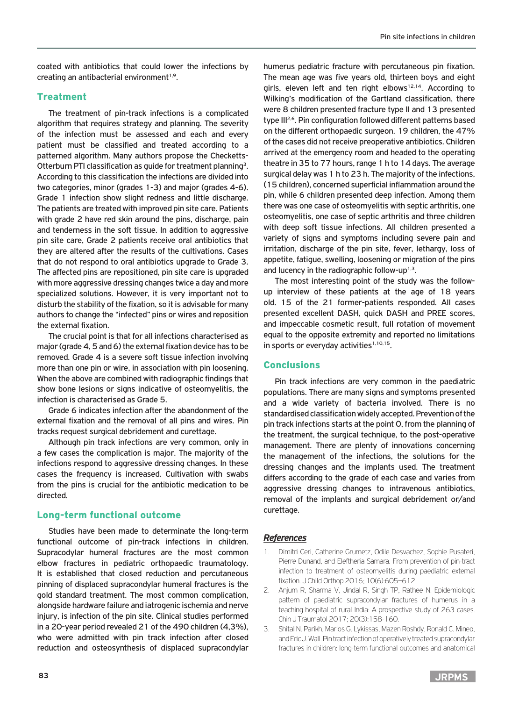coated with antibiotics that could lower the infections by creating an antibacterial environment $1.9$ .

## Treatment

The treatment of pin-track infections is a complicated algorithm that requires strategy and planning. The severity of the infection must be assessed and each and every patient must be classified and treated according to a patterned algorithm. Many authors propose the Checketts-Otterburn PTI classification as guide for treatment planning3. According to this classification the infections are divided into two categories, minor (grades 1-3) and major (grades 4-6). Grade 1 infection show slight redness and little discharge. The patients are treated with improved pin site care. Patients with grade 2 have red skin around the pins, discharge, pain and tenderness in the soft tissue. In addition to aggressive pin site care, Grade 2 patients receive oral antibiotics that they are altered after the results of the cultivations. Cases that do not respond to oral antibiotics upgrade to Grade 3. The affected pins are repositioned, pin site care is upgraded with more aggressive dressing changes twice a day and more specialized solutions. However, it is very important not to disturb the stability of the fixation, so it is advisable for many authors to change the "infected" pins or wires and reposition the external fixation.

The crucial point is that for all infections characterised as major (grade 4, 5 and 6) the external fixation device has to be removed. Grade 4 is a severe soft tissue infection involving more than one pin or wire, in association with pin loosening. When the above are combined with radiographic findings that show bone lesions or signs indicative of osteomyelitis, the infection is characterised as Grade 5.

Grade 6 indicates infection after the abandonment of the external fixation and the removal of all pins and wires. Pin tracks request surgical debridement and curettage.

Although pin track infections are very common, only in a few cases the complication is major. The majority of the infections respond to aggressive dressing changes. In these cases the frequency is increased. Cultivation with swabs from the pins is crucial for the antibiotic medication to be directed.

## Long-term functional outcome

Studies have been made to determinate the long-term functional outcome of pin-track infections in children. Supracodylar humeral fractures are the most common elbow fractures in pediatric orthopaedic traumatology. It is established that closed reduction and percutaneous pinning of displaced supracondylar humeral fractures is the gold standard treatment. The most common complication, alongside hardware failure and iatrogenic ischemia and nerve injury, is infection of the pin site. Clinical studies performed in a 20-year period revealed 21 of the 490 children (4,3%), who were admitted with pin track infection after closed reduction and osteosynthesis of displaced supracondylar humerus pediatric fracture with percutaneous pin fixation. The mean age was five years old, thirteen boys and eight girls, eleven left and ten right elbows<sup>12,14</sup>. According to Wilking's modification of the Gartland classification, there were 8 children presented fracture type II and 13 presented type III<sup>2,6</sup>. Pin configuration followed different patterns based on the different orthopaedic surgeon. 19 children, the 47% of the cases did not receive preoperative antibiotics. Children arrived at the emergency room and headed to the operating theatre in 35 to 77 hours, range 1 h to 14 days. The average surgical delay was 1 h to 23 h. The majority of the infections, (15 children), concerned superficial inflammation around the pin, while 6 children presented deep infection. Among them there was one case of osteomyelitis with septic arthritis, one osteomyelitis, one case of septic arthritis and three children with deep soft tissue infections. All children presented a variety of signs and symptoms including severe pain and irritation, discharge of the pin site, fever, lethargy, loss of appetite, fatigue, swelling, loosening or migration of the pins and lucency in the radiographic follow-up<sup>1,3</sup>.

The most interesting point of the study was the followup interview of these patients at the age of 18 years old. 15 of the 21 former-patients responded. All cases presented excellent DASH, quick DASH and PREE scores, and impeccable cosmetic result, full rotation of movement equal to the opposite extremity and reported no limitations in sports or everyday activities<sup> $1,10,15$ </sup>.

## **Conclusions**

Pin track infections are very common in the paediatric populations. There are many signs and symptoms presented and a wide variety of bacteria involved. There is no standardised classification widely accepted. Prevention of the pin track infections starts at the point 0, from the planning of the treatment, the surgical technique, to the post-operative management. There are plenty of innovations concerning the management of the infections, the solutions for the dressing changes and the implants used. The treatment differs according to the grade of each case and varies from aggressive dressing changes to intravenous antibiotics, removal of the implants and surgical debridement or/and curettage.

## *References*

- 1. Dimitri Ceri, Catherine Grumetz, Odile Desvachez, Sophie Pusateri, Pierre Dunand, and Eleftheria Samara. From prevention of pin-tract infection to treatment of osteomyelitis during paediatric external fixation. J Child Orthop 2016; 10(6):605–612.
- 2. Anjum R, Sharma V, Jindal R, Singh TP, Rathee N. Epidemiologic pattern of paediatric supracondylar fractures of humerus in a teaching hospital of rural India: A prospective study of 263 cases. Chin J Traumatol 2017; 20(3):158-160.
- 3. Shital N. Parikh, Marios G. Lykissas, Mazen Roshdy, Ronald C. Mineo, and Eric J. Wall. Pin tract infection of operatively treated supracondylar fractures in children: long-term functional outcomes and anatomical